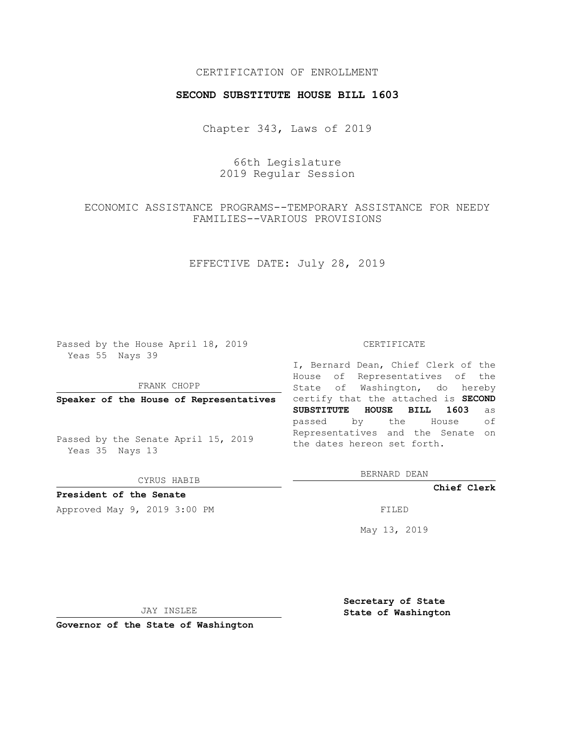## CERTIFICATION OF ENROLLMENT

#### **SECOND SUBSTITUTE HOUSE BILL 1603**

Chapter 343, Laws of 2019

66th Legislature 2019 Regular Session

# ECONOMIC ASSISTANCE PROGRAMS--TEMPORARY ASSISTANCE FOR NEEDY FAMILIES--VARIOUS PROVISIONS

## EFFECTIVE DATE: July 28, 2019

Passed by the House April 18, 2019 Yeas 55 Nays 39

FRANK CHOPP

Passed by the Senate April 15, 2019 Yeas 35 Nays 13

CYRUS HABIB

## **President of the Senate**

Approved May 9, 2019 3:00 PM

#### CERTIFICATE

**Speaker of the House of Representatives** certify that the attached is **SECOND** I, Bernard Dean, Chief Clerk of the House of Representatives of the State of Washington, do hereby **SUBSTITUTE HOUSE BILL 1603** as passed by the House of Representatives and the Senate on the dates hereon set forth.

BERNARD DEAN

**Chief Clerk**

May 13, 2019

JAY INSLEE

**Governor of the State of Washington**

**Secretary of State State of Washington**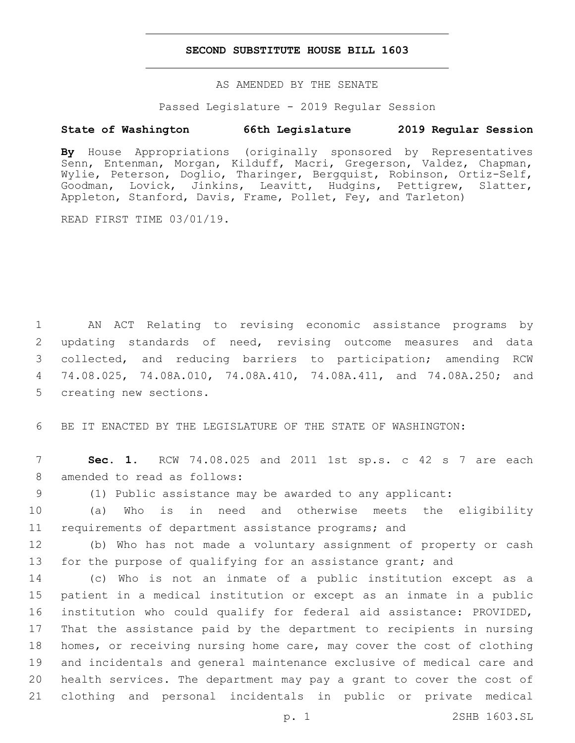### **SECOND SUBSTITUTE HOUSE BILL 1603**

AS AMENDED BY THE SENATE

Passed Legislature - 2019 Regular Session

# **State of Washington 66th Legislature 2019 Regular Session**

**By** House Appropriations (originally sponsored by Representatives Senn, Entenman, Morgan, Kilduff, Macri, Gregerson, Valdez, Chapman, Wylie, Peterson, Doglio, Tharinger, Bergquist, Robinson, Ortiz-Self, Goodman, Lovick, Jinkins, Leavitt, Hudgins, Pettigrew, Slatter, Appleton, Stanford, Davis, Frame, Pollet, Fey, and Tarleton)

READ FIRST TIME 03/01/19.

 AN ACT Relating to revising economic assistance programs by updating standards of need, revising outcome measures and data collected, and reducing barriers to participation; amending RCW 74.08.025, 74.08A.010, 74.08A.410, 74.08A.411, and 74.08A.250; and 5 creating new sections.

6 BE IT ENACTED BY THE LEGISLATURE OF THE STATE OF WASHINGTON:

7 **Sec. 1.** RCW 74.08.025 and 2011 1st sp.s. c 42 s 7 are each 8 amended to read as follows:

9 (1) Public assistance may be awarded to any applicant:

10 (a) Who is in need and otherwise meets the eligibility 11 requirements of department assistance programs; and

12 (b) Who has not made a voluntary assignment of property or cash 13 for the purpose of qualifying for an assistance grant; and

 (c) Who is not an inmate of a public institution except as a patient in a medical institution or except as an inmate in a public institution who could qualify for federal aid assistance: PROVIDED, That the assistance paid by the department to recipients in nursing homes, or receiving nursing home care, may cover the cost of clothing and incidentals and general maintenance exclusive of medical care and health services. The department may pay a grant to cover the cost of clothing and personal incidentals in public or private medical

p. 1 2SHB 1603.SL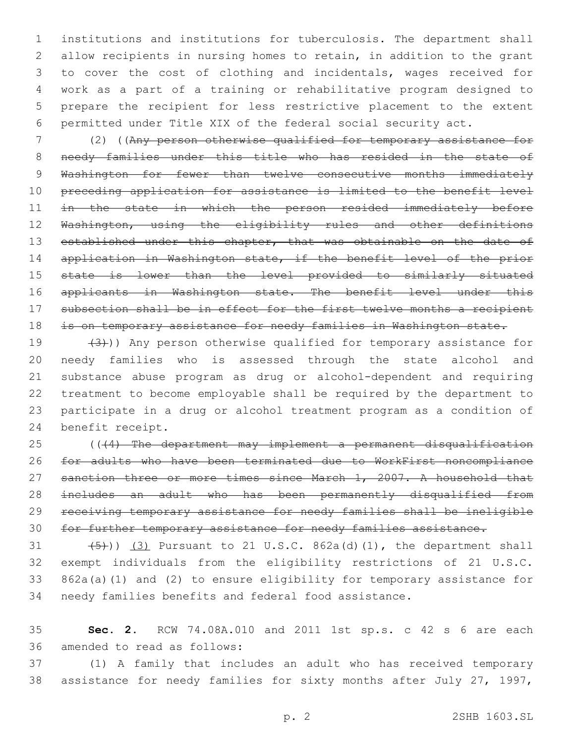institutions and institutions for tuberculosis. The department shall allow recipients in nursing homes to retain, in addition to the grant to cover the cost of clothing and incidentals, wages received for work as a part of a training or rehabilitative program designed to prepare the recipient for less restrictive placement to the extent permitted under Title XIX of the federal social security act.

 (2) ((Any person otherwise qualified for temporary assistance for 8 needy families under this title who has resided in the state of 9 Washington for fewer than twelve consecutive months immediately preceding application for assistance is limited to the benefit level 11 in the state in which the person resided immediately before 12 Washington, using the eligibility rules and other definitions 13 established under this chapter, that was obtainable on the date of 14 application in Washington state, if the benefit level of the prior state is lower than the level provided to similarly situated 16 applicants in Washington state. The benefit level under this 17 subsection shall be in effect for the first twelve months a recipient 18 is on temporary assistance for needy families in Washington state.

 $(3)$ )) Any person otherwise qualified for temporary assistance for needy families who is assessed through the state alcohol and substance abuse program as drug or alcohol-dependent and requiring treatment to become employable shall be required by the department to participate in a drug or alcohol treatment program as a condition of 24 benefit receipt.

 (((4) The department may implement a permanent disqualification for adults who have been terminated due to WorkFirst noncompliance 27 sanction three or more times since March 1, 2007. A household that includes an adult who has been permanently disqualified from receiving temporary assistance for needy families shall be ineligible for further temporary assistance for needy families assistance.

 $(5)$ )) (3) Pursuant to 21 U.S.C. 862a(d)(1), the department shall exempt individuals from the eligibility restrictions of 21 U.S.C. 862a(a)(1) and (2) to ensure eligibility for temporary assistance for needy families benefits and federal food assistance.

 **Sec. 2.** RCW 74.08A.010 and 2011 1st sp.s. c 42 s 6 are each 36 amended to read as follows:

 (1) A family that includes an adult who has received temporary assistance for needy families for sixty months after July 27, 1997,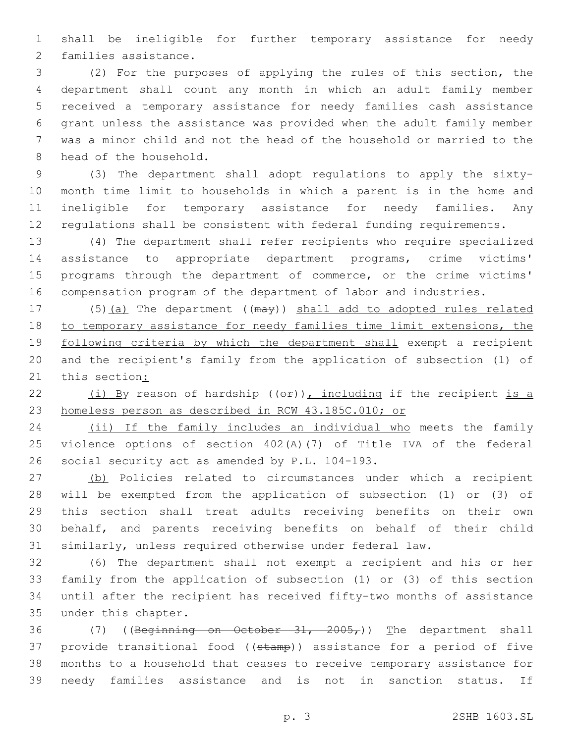shall be ineligible for further temporary assistance for needy 2 families assistance.

 (2) For the purposes of applying the rules of this section, the department shall count any month in which an adult family member received a temporary assistance for needy families cash assistance grant unless the assistance was provided when the adult family member was a minor child and not the head of the household or married to the 8 head of the household.

 (3) The department shall adopt regulations to apply the sixty- month time limit to households in which a parent is in the home and ineligible for temporary assistance for needy families. Any regulations shall be consistent with federal funding requirements.

 (4) The department shall refer recipients who require specialized assistance to appropriate department programs, crime victims' 15 programs through the department of commerce, or the crime victims' compensation program of the department of labor and industries.

17 (5)(a) The department ((may)) shall add to adopted rules related to temporary assistance for needy families time limit extensions, the following criteria by which the department shall exempt a recipient and the recipient's family from the application of subsection (1) of 21 this section:

22  $(i)$  By reason of hardship  $((\theta \cdot \hat{r}))$ , including if the recipient is a homeless person as described in RCW 43.185C.010; or

 (ii) If the family includes an individual who meets the family violence options of section 402(A)(7) of Title IVA of the federal 26 social security act as amended by P.L. 104-193.

 (b) Policies related to circumstances under which a recipient will be exempted from the application of subsection (1) or (3) of this section shall treat adults receiving benefits on their own behalf, and parents receiving benefits on behalf of their child similarly, unless required otherwise under federal law.

 (6) The department shall not exempt a recipient and his or her family from the application of subsection (1) or (3) of this section until after the recipient has received fifty-two months of assistance 35 under this chapter.

36 (7) ((Beginning on October 31, 2005,)) The department shall 37 provide transitional food ((stamp)) assistance for a period of five months to a household that ceases to receive temporary assistance for needy families assistance and is not in sanction status. If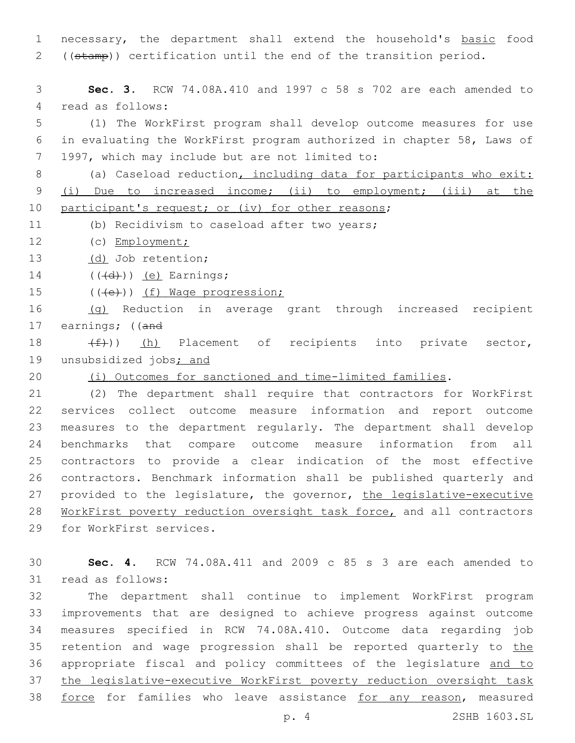necessary, the department shall extend the household's basic food ((stamp)) certification until the end of the transition period.

 **Sec. 3.** RCW 74.08A.410 and 1997 c 58 s 702 are each amended to 4 read as follows:

 (1) The WorkFirst program shall develop outcome measures for use in evaluating the WorkFirst program authorized in chapter 58, Laws of 7 1997, which may include but are not limited to:

8 (a) Caseload reduction, including data for participants who exit: (i) Due to increased income; (ii) to employment; (iii) at the 10 participant's request; or (iv) for other reasons;

(b) Recidivism to caseload after two years;

(c) Employment;

13 (d) Job retention;

 $((\overline{d}))(e)$  Earnings;

15 (((e)) (f) Wage progression;

 (g) Reduction in average grant through increased recipient 17 earnings; ((and

18  $(f)$ ) (h) Placement of recipients into private sector, 19 unsubsidized jobs; and

(i) Outcomes for sanctioned and time-limited families.

 (2) The department shall require that contractors for WorkFirst services collect outcome measure information and report outcome measures to the department regularly. The department shall develop benchmarks that compare outcome measure information from all contractors to provide a clear indication of the most effective contractors. Benchmark information shall be published quarterly and 27 provided to the legislature, the governor, the legislative-executive WorkFirst poverty reduction oversight task force, and all contractors 29 for WorkFirst services.

 **Sec. 4.** RCW 74.08A.411 and 2009 c 85 s 3 are each amended to 31 read as follows:

 The department shall continue to implement WorkFirst program improvements that are designed to achieve progress against outcome measures specified in RCW 74.08A.410. Outcome data regarding job 35 retention and wage progression shall be reported quarterly to the appropriate fiscal and policy committees of the legislature and to the legislative-executive WorkFirst poverty reduction oversight task force for families who leave assistance for any reason, measured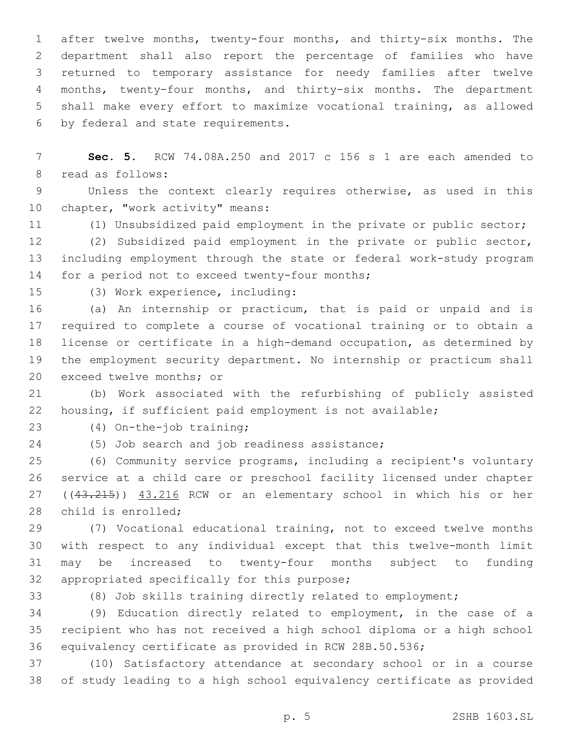after twelve months, twenty-four months, and thirty-six months. The department shall also report the percentage of families who have returned to temporary assistance for needy families after twelve months, twenty-four months, and thirty-six months. The department shall make every effort to maximize vocational training, as allowed 6 by federal and state requirements.

 **Sec. 5.** RCW 74.08A.250 and 2017 c 156 s 1 are each amended to 8 read as follows:

 Unless the context clearly requires otherwise, as used in this 10 chapter, "work activity" means:

(1) Unsubsidized paid employment in the private or public sector;

 (2) Subsidized paid employment in the private or public sector, including employment through the state or federal work-study program 14 for a period not to exceed twenty-four months;

15 (3) Work experience, including:

 (a) An internship or practicum, that is paid or unpaid and is required to complete a course of vocational training or to obtain a license or certificate in a high-demand occupation, as determined by the employment security department. No internship or practicum shall 20 exceed twelve months; or

 (b) Work associated with the refurbishing of publicly assisted housing, if sufficient paid employment is not available;

(4) On-the-job training;23

24 (5) Job search and job readiness assistance;

 (6) Community service programs, including a recipient's voluntary service at a child care or preschool facility licensed under chapter 27 ((43.215)) 43.216 RCW or an elementary school in which his or her 28 child is enrolled;

 (7) Vocational educational training, not to exceed twelve months with respect to any individual except that this twelve-month limit may be increased to twenty-four months subject to funding 32 appropriated specifically for this purpose;

(8) Job skills training directly related to employment;

 (9) Education directly related to employment, in the case of a recipient who has not received a high school diploma or a high school equivalency certificate as provided in RCW 28B.50.536;

 (10) Satisfactory attendance at secondary school or in a course of study leading to a high school equivalency certificate as provided